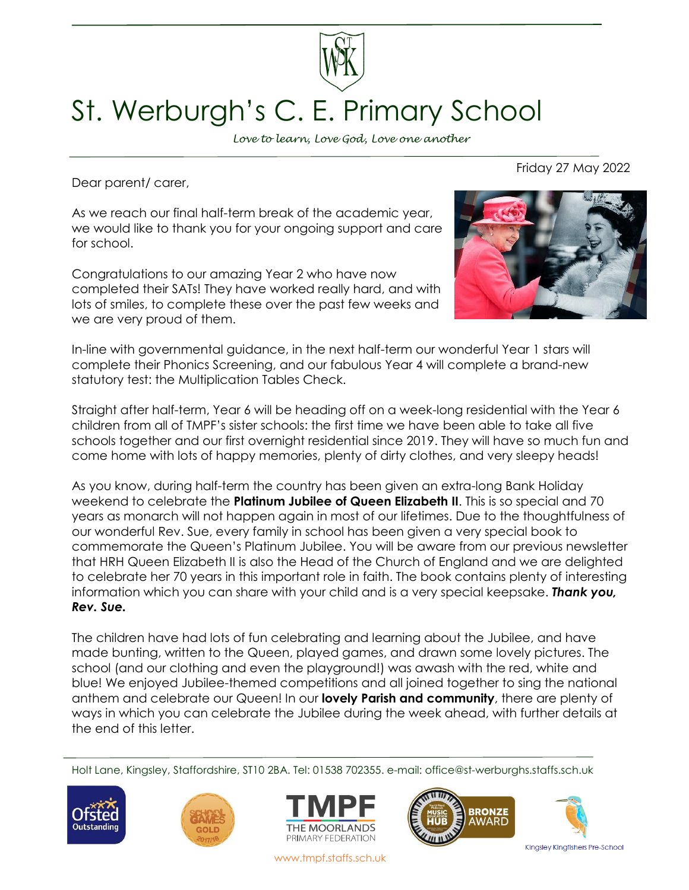

## St. Werburgh's C. E. Primary School

*Love to learn, Love God, Love one another*

Dear parent/ carer,

As we reach our final half-term break of the academic year, we would like to thank you for your ongoing support and care for school.

Congratulations to our amazing Year 2 who have now completed their SATs! They have worked really hard, and with lots of smiles, to complete these over the past few weeks and we are very proud of them.



In-line with governmental guidance, in the next half-term our wonderful Year 1 stars will complete their Phonics Screening, and our fabulous Year 4 will complete a brand-new statutory test: the Multiplication Tables Check.

Straight after half-term, Year 6 will be heading off on a week-long residential with the Year 6 children from all of TMPF's sister schools: the first time we have been able to take all five schools together and our first overnight residential since 2019. They will have so much fun and come home with lots of happy memories, plenty of dirty clothes, and very sleepy heads!

As you know, during half-term the country has been given an extra-long Bank Holiday weekend to celebrate the **Platinum Jubilee of Queen Elizabeth II**. This is so special and 70 years as monarch will not happen again in most of our lifetimes. Due to the thoughtfulness of our wonderful Rev. Sue, every family in school has been given a very special book to commemorate the Queen's Platinum Jubilee. You will be aware from our previous newsletter that HRH Queen Elizabeth II is also the Head of the Church of England and we are delighted to celebrate her 70 years in this important role in faith. The book contains plenty of interesting information which you can share with your child and is a very special keepsake. *Thank you, Rev. Sue.*

The children have had lots of fun celebrating and learning about the Jubilee, and have made bunting, written to the Queen, played games, and drawn some lovely pictures. The school (and our clothing and even the playground!) was awash with the red, white and blue! We enjoyed Jubilee-themed competitions and all joined together to sing the national anthem and celebrate our Queen! In our **lovely Parish and community**, there are plenty of ways in which you can celebrate the Jubilee during the week ahead, with further details at the end of this letter.

Holt Lane, Kingsley, Staffordshire, ST10 2BA. Tel: 01538 702355. e-mail: office@st-werburghs.staffs.sch.uk







www.tmpf.staffs.sch.uk





Friday 27 May 2022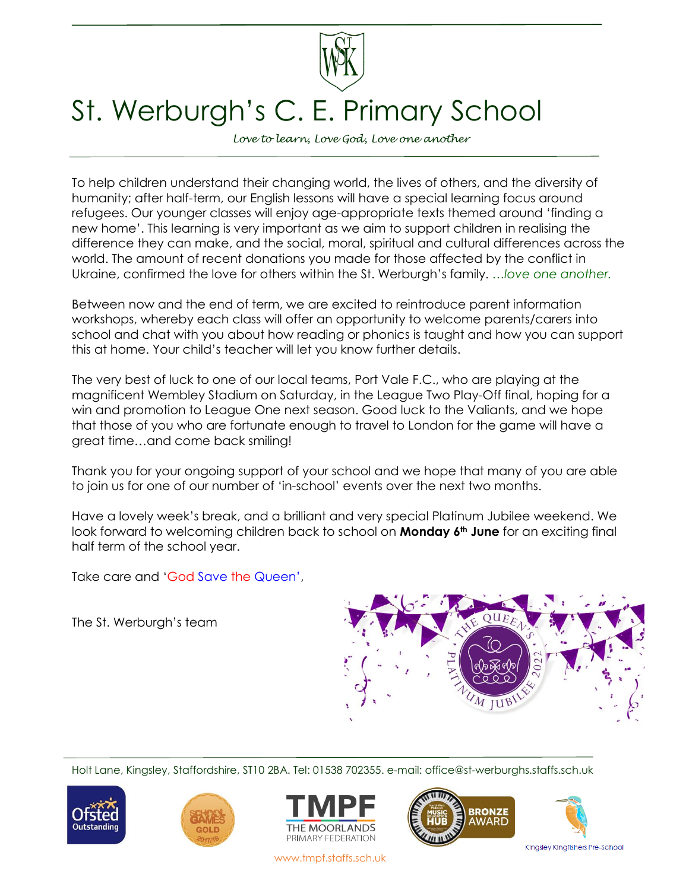

## St. Werburgh's C. E. Primary School

*Love to learn, Love God, Love one another*

To help children understand their changing world, the lives of others, and the diversity of humanity; after half-term, our English lessons will have a special learning focus around refugees. Our younger classes will enjoy age-appropriate texts themed around 'finding a new home'. This learning is very important as we aim to support children in realising the difference they can make, and the social, moral, spiritual and cultural differences across the world. The amount of recent donations you made for those affected by the conflict in Ukraine, confirmed the love for others within the St. Werburgh's family. *…love one another.*

Between now and the end of term, we are excited to reintroduce parent information workshops, whereby each class will offer an opportunity to welcome parents/carers into school and chat with you about how reading or phonics is taught and how you can support this at home. Your child's teacher will let you know further details.

The very best of luck to one of our local teams, Port Vale F.C., who are playing at the magnificent Wembley Stadium on Saturday, in the League Two Play-Off final, hoping for a win and promotion to League One next season. Good luck to the Valiants, and we hope that those of you who are fortunate enough to travel to London for the game will have a great time…and come back smiling!

Thank you for your ongoing support of your school and we hope that many of you are able to join us for one of our number of 'in-school' events over the next two months.

Have a lovely week's break, and a brilliant and very special Platinum Jubilee weekend. We look forward to welcoming children back to school on **Monday 6th June** for an exciting final half term of the school year.

Take care and 'God Save the Queen',

The St. Werburgh's team



Holt Lane, Kingsley, Staffordshire, ST10 2BA. Tel: 01538 702355. e-mail: office@st-werburghs.staffs.sch.uk











www.tmpf.staffs.sch.uk